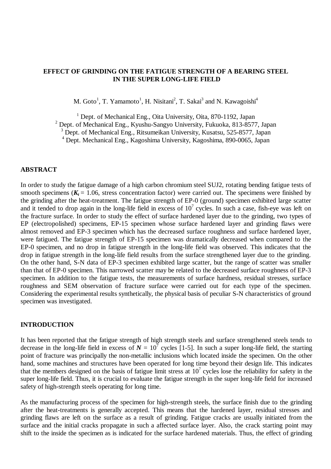## **EFFECT OF GRINDING ON THE FATIGUE STRENGTH OF A BEARING STEEL IN THE SUPER LONG-LIFE FIELD**

M. Goto<sup>1</sup>, T. Yamamoto<sup>1</sup>, H. Nisitani<sup>2</sup>, T. Sakai<sup>3</sup> and N. Kawagoishi<sup>4</sup>

<sup>1</sup> Dept. of Mechanical Eng., Oita University, Oita, 870-1192, Japan

<sup>2</sup> Dept. of Mechanical Eng., Kyushu-Sangyo University, Fukuoka, 813-8577, Japan

<sup>3</sup> Dept. of Mechanical Eng., Ritsumeikan University, Kusatsu, 525-8577, Japan

4 Dept. Mechanical Eng., Kagoshima University, Kagoshima, 890-0065, Japan

#### **ABSTRACT**

In order to study the fatigue damage of a high carbon chromium steel SUJ2, rotating bending fatigue tests of smooth specimens  $(K_t = 1.06$ , stress concentration factor) were carried out. The specimens were finished by the grinding after the heat-treatment. The fatigue strength of EP-0 (ground) specimen exhibited large scatter and it tended to drop again in the long-life field in excess of  $10^7$  cycles. In such a case, fish-eye was left on the fracture surface. In order to study the effect of surface hardened layer due to the grinding, two types of EP (electropolished) specimens, EP-15 specimen whose surface hardened layer and grinding flaws were almost removed and EP-3 specimen which has the decreased surface roughness and surface hardened layer, were fatigued. The fatigue strength of EP-15 specimen was dramatically decreased when compared to the EP-0 specimen, and no drop in fatigue strength in the long-life field was observed. This indicates that the drop in fatigue strength in the long-life field results from the surface strengthened layer due to the grinding. On the other hand, S-N data of EP-3 specimen exhibited large scatter, but the range of scatter was smaller than that of EP-0 specimen. This narrowed scatter may be related to the decreased surface roughness of EP-3 specimen. In addition to the fatigue tests, the measurements of surface hardness, residual stresses, surface roughness and SEM observation of fracture surface were carried out for each type of the specimen. Considering the experimental results synthetically, the physical basis of peculiar S-N characteristics of ground specimen was investigated.

### **INTRODUCTION**

It has been reported that the fatigue strength of high strength steels and surface strengthened steels tends to decrease in the long-life field in excess of  $N = 10^7$  cycles [1-5]. In such a super long-life field, the starting point of fracture was principally the non-metallic inclusions which located inside the specimen. On the other hand, some machines and structures have been operated for long time beyond their design life. This indicates that the members designed on the basis of fatigue limit stress at  $10<sup>7</sup>$  cycles lose the reliability for safety in the super long-life field. Thus, it is crucial to evaluate the fatigue strength in the super long-life field for increased safety of high-strength steels operating for long time.

As the manufacturing process of the specimen for high-strength steels, the surface finish due to the grinding after the heat-treatments is generally accepted. This means that the hardened layer, residual stresses and grinding flaws are left on the surface as a result of grinding. Fatigue cracks are usually initiated from the surface and the initial cracks propagate in such a affected surface layer. Also, the crack starting point may shift to the inside the specimen as is indicated for the surface hardened materials. Thus, the effect of grinding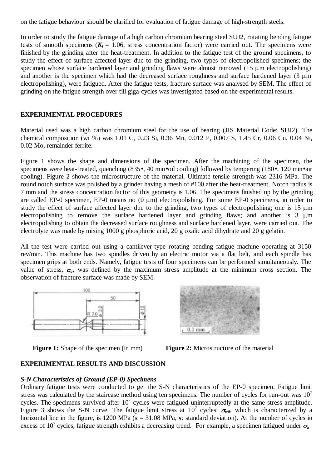on the fatigue behaviour should be clarified for evaluation of fatigue damage of high-strength steels.

In order to study the fatigue damage of a high carbon chromium bearing steel SUJ2, rotating bending fatigue tests of smooth specimens  $(K_t = 1.06$ , stress concentration factor) were carried out. The specimens were finished by the grinding after the heat-treatment. In addition to the fatigue test of the ground specimens, to study the effect of surface affected layer due to the grinding, two types of electropolished specimens; the specimen whose surface hardened layer and grinding flaws were almost removed  $(15 \mu m$  electropolishing) and another is the specimen which had the decreased surface roughness and surface hardened layer  $(3 \mu m)$ electropolishing), were fatigued. After the fatigue tests, fracture surface was analysed by SEM. The effect of grinding on the fatigue strength over till giga-cycles was investigated based on the experimental results.

## **EXPERIMENTAL PROCEDURES**

Material used was a high carbon chromium steel for the use of bearing (JIS Material Code: SUJ2). The chemical composition (wt %) was 1.01 C, 0.23 Si, 0.36 Mn, 0.012 P, 0.007 S, 1.45 Cr, 0.06 Cu, 0.04 Ni, 0.02 Mo, remainder ferrite.

Figure 1 shows the shape and dimensions of the specimen. After the machining of the specimen, the specimens were heat-treated, quenching (835•, 40 min•oil cooling) followed by tempering (180•, 120 min•air cooling). Figure 2 shows the microstructure of the material. Ultimate tensile strength was 2316 MPa. The round notch surface was polished by a grinder having a mesh of #100 after the heat-treatment. Notch radius is 7 mm and the stress concentration factor of this geometry is 1.06. The specimens finished up by the grinding are called EP-0 specimen, EP-0 means no  $(0 \mu m)$  electropolishing. For some EP-0 specimens, in order to study the effect of surface affected layer due to the grinding, two types of electropolishing; one is  $15 \mu m$ electropolishing to remove the surface hardened layer and grinding flaws; and another is  $\overline{3}$   $\mu$ m electropolishing to obtain the decreased surface roughness and surface hardened layer, were carried out. The electrolyte was made by mixing 1000 g phosphoric acid, 20 g oxalic acid dihydrate and 20 g gelatin.

All the test were carried out using a cantilever-type rotating bending fatigue machine operating at 3150 rev/min. This machine has two spindles driven by an electric motor via a flat belt, and each spindle has specimen grips at both ends. Namely, fatigue tests of four specimens can be performed simultaneously. The value of stress,  $\sigma_a$ , was defined by the maximum stress amplitude at the minimum cross section. The observation of fracture surface was made by SEM.







# **EXPERIMENTAL RESULTS AND DISCUSSION**

### *S-N Characteristics of Ground (EP-0) Specimens*

Ordinary fatigue tests were conducted to get the S-N characteristics of the EP-0 specimen. Fatigue limit stress was calculated by the staircase method using ten specimens. The number of cycles for run-out was  $10<sup>7</sup>$ cycles. The specimens survived after  $10<sup>7</sup>$  cycles were fatigued uninterruptedly at the same stress amplitude. Figure 3 shows the S-N curve. The fatigue limit stress at  $10^7$  cycles:  $\sigma_{w0}$ , which is characterized by a horizontal line in the figure, is 1200 MPa ( $s = 31.08$  MPa, *s*: standard deviation). At the number of cycles in excess of 10<sup>7</sup> cycles, fatigue strength exhibits a decreasing trend. For example, a specimen fatigued under  $\sigma_a$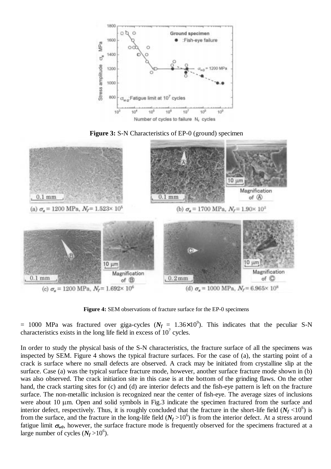

**Figure 3:** S-N Characteristics of EP-0 (ground) specimen



**Figure 4:** SEM observations of fracture surface for the EP-0 specimens

 $= 1000$  MPa was fractured over giga-cycles ( $N_f = 1.36 \times 10^9$ ). This indicates that the peculiar S-N characteristics exists in the long life field in excess of  $10<sup>7</sup>$  cycles.

In order to study the physical basis of the S-N characteristics, the fracture surface of all the specimens was inspected by SEM. Figure 4 shows the typical fracture surfaces. For the case of (a), the starting point of a crack is surface where no small defects are observed. A crack may be initiated from crystalline slip at the surface. Case (a) was the typical surface fracture mode, however, another surface fracture mode shown in (b) was also observed. The crack initiation site in this case is at the bottom of the grinding flaws. On the other hand, the crack starting sites for (c) and (d) are interior defects and the fish-eye pattern is left on the fracture surface. The non-metallic inclusion is recognized near the center of fish-eye. The average sizes of inclusions were about 10  $\mu$ m. Open and solid symbols in Fig.3 indicate the specimen fractured from the surface and interior defect, respectively. Thus, it is roughly concluded that the fracture in the short-life field  $(N_f < 10^6)$  is from the surface, and the fracture in the long-life field  $(N_f > 10^6)$  is from the interior defect. At a stress around fatigue limit  $\sigma_{w0}$ , however, the surface fracture mode is frequently observed for the specimens fractured at a large number of cycles  $(N_f > 10^6)$ .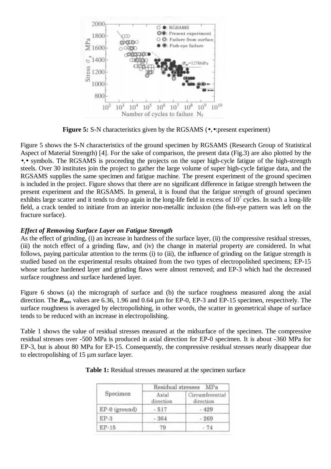

**Figure 5:** S-N characteristics given by the RGSAMS ( $\bullet$ , $\bullet$ :present experiment)

Figure 5 shows the S-N characteristics of the ground specimen by RGSAMS (Research Group of Statistical Aspect of Material Strength) [4]. For the sake of comparison, the present data (Fig.3) are also plotted by the •,• symbols. The RGSAMS is proceeding the projects on the super high-cycle fatigue of the high-strength steels. Over 30 institutes join the project to gather the large volume of super high-cycle fatigue data, and the RGSAMS supplies the same specimen and fatigue machine. The present experiment of the ground specimen is included in the project. Figure shows that there are no significant difference in fatigue strength between the present experiment and the RGSAMS. In general, it is found that the fatigue strength of ground specimen exhibits large scatter and it tends to drop again in the long-life field in excess of  $10^7$  cycles. In such a long-life field, a crack tended to initiate from an interior non-metallic inclusion (the fish-eye pattern was left on the fracture surface).

## *Effect of Removing Surface Layer on Fatigue Strength*

As the effect of grinding, (i) an increase in hardness of the surface layer, (ii) the compressive residual stresses, (iii) the notch effect of a grinding flaw, and (iv) the change in material property are considered. In what follows, paying particular attention to the terms (i) to (iii), the influence of grinding on the fatigue strength is studied based on the experimental results obtained from the two types of electropolished specimens; EP-15 whose surface hardened layer and grinding flaws were almost removed; and EP-3 which had the decreased surface roughness and surface hardened layer.

Figure 6 shows (a) the micrograph of surface and (b) the surface roughness measured along the axial direction. The  $R_{max}$  values are 6.36, 1.96 and 0.64  $\mu$ m for EP-0, EP-3 and EP-15 specimen, respectively. The surface roughness is averaged by electropolishing, in other words, the scatter in geometrical shape of surface tends to be reduced with an increase in electropolishing.

Table 1 shows the value of residual stresses measured at the midsurface of the specimen. The compressive residual stresses over -500 MPa is produced in axial direction for EP-0 specimen. It is about -360 MPa for EP-3, but is about 80 MPa for EP-15. Consequently, the compressive residual stresses nearly disappear due to electropolishing of  $15 \mu m$  surface layer.

| Specimen      | Residual stresses MPa |                              |
|---------------|-----------------------|------------------------------|
|               | Axial<br>direction    | Circumferential<br>direction |
| EP-0 (ground) | $-517$                | 429                          |
| $EP-3$        | $-364$                | $-269$                       |
| EP-15         | 79                    | $-74$                        |

#### **Table 1:** Residual stresses measured at the specimen surface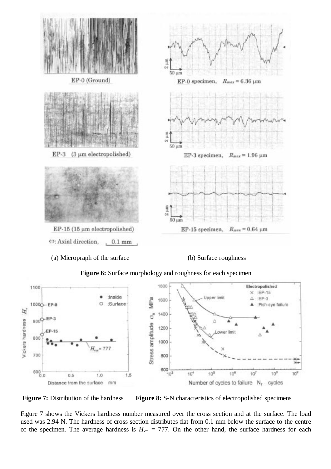

(a) Micropraph of the surface (b) Surface roughness



**Figure 6:** Surface morphology and roughness for each specimen

**Figure 7:** Distribution of the hardness **Figure 8:** S-N characteristics of electropolished specimens

Figure 7 shows the Vickers hardness number measured over the cross section and at the surface. The load used was 2.94 N. The hardness of cross section distributes flat from 0.1 mm below the surface to the centre of the specimen. The average hardness is  $H_{vm} = 777$ . On the other hand, the surface hardness for each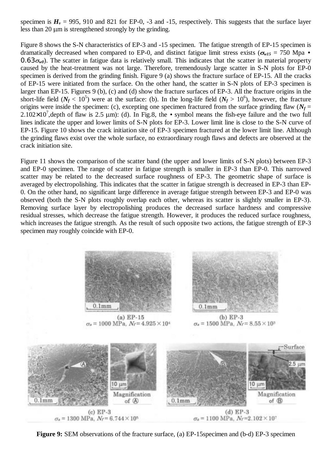specimen is  $H_v = 995$ , 910 and 821 for EP-0, -3 and -15, respectively. This suggests that the surface layer less than 20  $\mu$ m is strengthened strongly by the grinding.

Figure 8 shows the S-N characteristics of EP-3 and -15 specimen. The fatigue strength of EP-15 specimen is dramatically decreased when compared to EP-0, and distinct fatigue limit stress exists ( $\sigma_{w15}$  = 750 Mpa •  $0.63<sub>w0</sub>$ ). The scatter in fatigue data is relatively small. This indicates that the scatter in material property caused by the heat-treatment was not large. Therefore, tremendously large scatter in S-N plots for EP-0 specimen is derived from the grinding finish. Figure 9 (a) shows the fracture surface of EP-15. All the cracks of EP-15 were initiated from the surface. On the other hand, the scatter in S-N plots of EP-3 specimen is larger than EP-15. Figures 9 (b), (c) and (d) show the fracture surfaces of EP-3. All the fracture origins in the short-life field  $(N_f < 10^5)$  were at the surface: (b). In the long-life field  $(N_f > 10^6)$ , however, the fracture origins were inside the specimen: (c), excepting one specimen fractured from the surface grinding flaw  $(N_f =$  $2.102 \times 10^7$ , depth of flaw is 2.5  $\mu$ m): (d). In Fig.8, the • symbol means the fish-eye failure and the two full lines indicate the upper and lower limits of S-N plots for EP-3. Lower limit line is close to the S-N curve of EP-15. Figure 10 shows the crack initiation site of EP-3 specimen fractured at the lower limit line. Although the grinding flaws exist over the whole surface, no extraordinary rough flaws and defects are observed at the crack initiation site.

Figure 11 shows the comparison of the scatter band (the upper and lower limits of S-N plots) between EP-3 and EP-0 specimen. The range of scatter in fatigue strength is smaller in EP-3 than EP-0. This narrowed scatter may be related to the decreased surface roughness of EP-3. The geometric shape of surface is averaged by electropolishing. This indicates that the scatter in fatigue strength is decreased in EP-3 than EP-0. On the other hand, no significant large difference in average fatigue strength between EP-3 and EP-0 was observed (both the S-N plots roughly overlap each other, whereas its scatter is slightly smaller in EP-3). Removing surface layer by electropolishing produces the decreased surface hardness and compressive residual stresses, which decrease the fatigue strength. However, it produces the reduced surface roughness, which increases the fatigue strength. As the result of such opposite two actions, the fatigue strength of EP-3 specimen may roughly coincide with EP-0.



 $\sigma_a = 1000 \text{ MPa}, N_f = 4.925 \times 10^4$ 



 $(b) EP-3$  $\sigma_a = 1500 \text{ MPa}, N_f = 8.55 \times 10^3$ 



**Figure 9:** SEM observations of the fracture surface, (a) EP-15specimen and (b-d) EP-3 specimen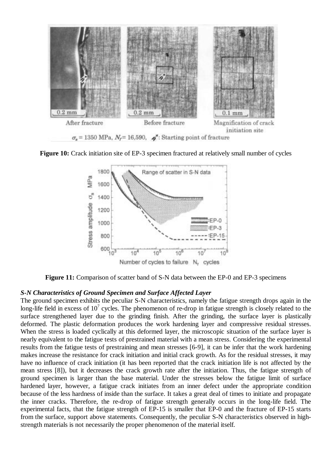

**Figure 10:** Crack initiation site of EP-3 specimen fractured at relatively small number of cycles



**Figure 11:** Comparison of scatter band of S-N data between the EP-0 and EP-3 specimens

### *S-N Characteristics of Ground Specimen and Surface Affected Layer*

The ground specimen exhibits the peculiar S-N characteristics, namely the fatigue strength drops again in the long-life field in excess of  $10^7$  cycles. The phenomenon of re-drop in fatigue strength is closely related to the surface strengthened layer due to the grinding finish. After the grinding, the surface layer is plastically deformed. The plastic deformation produces the work hardening layer and compressive residual stresses. When the stress is loaded cyclically at this deformed layer, the microscopic situation of the surface layer is nearly equivalent to the fatigue tests of prestrained material with a mean stress. Considering the experimental results from the fatigue tests of prestraining and mean stresses [6-9], it can be infer that the work hardening makes increase the resistance for crack initiation and initial crack growth. As for the residual stresses, it may have no influence of crack initiation (it has been reported that the crack initiation life is not affected by the mean stress [8]), but it decreases the crack growth rate after the initiation. Thus, the fatigue strength of ground specimen is larger than the base material. Under the stresses below the fatigue limit of surface hardened layer, however, a fatigue crack initiates from an inner defect under the appropriate condition because of the less hardness of inside than the surface. It takes a great deal of times to initiate and propagate the inner cracks. Therefore, the re-drop of fatigue strength generally occurs in the long-life field. The experimental facts, that the fatigue strength of EP-15 is smaller that EP-0 and the fracture of EP-15 starts from the surface, support above statements. Consequently, the peculiar S-N characteristics observed in highstrength materials is not necessarily the proper phenomenon of the material itself.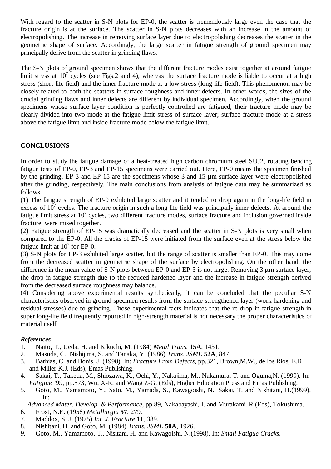With regard to the scatter in S-N plots for EP-0, the scatter is tremendously large even the case that the fracture origin is at the surface. The scatter in S-N plots decreases with an increase in the amount of electropolishing. The increase in removing surface layer due to electropolishing decreases the scatter in the geometric shape of surface. Accordingly, the large scatter in fatigue strength of ground specimen may principally derive from the scatter in grinding flaws.

The S-N plots of ground specimen shows that the different fracture modes exist together at around fatigue limit stress at  $10^7$  cycles (see Figs.2 and 4), whereas the surface fracture mode is liable to occur at a high stress (short-life field) and the inner fracture mode at a low stress (long-life field). This phenomenon may be closely related to both the scatters in surface roughness and inner defects. In other words, the sizes of the crucial grinding flaws and inner defects are different by individual specimen. Accordingly, when the ground specimens whose surface layer condition is perfectly controlled are fatigued, their fracture mode may be clearly divided into two mode at the fatigue limit stress of surface layer; surface fracture mode at a stress above the fatigue limit and inside fracture mode below the fatigue limit.

# **CONCLUSIONS**

In order to study the fatigue damage of a heat-treated high carbon chromium steel SUJ2, rotating bending fatigue tests of EP-0, EP-3 and EP-15 specimens were carried out. Here, EP-0 means the specimen finished by the grinding,  $EP-3$  and  $EP-15$  are the specimens whose 3 and 15  $\mu$ m surface layer were electropolished after the grinding, respectively. The main conclusions from analysis of fatigue data may be summarized as follows.

(1) The fatigue strength of EP-0 exhibited large scatter and it tended to drop again in the long-life field in excess of  $10^7$  cycles. The fracture origin in such a long life field was principally inner defects. At around the fatigue limit stress at  $10^7$  cycles, two different fracture modes, surface fracture and inclusion governed inside fracture, were mixed together.

(2) Fatigue strength of EP-15 was dramatically decreased and the scatter in S-N plots is very small when compared to the EP-0. All the cracks of EP-15 were initiated from the surface even at the stress below the fatigue limit at  $10^7$  for EP-0.

(3) S-N plots for EP-3 exhibited large scatter, but the range of scatter is smaller than EP-0. This may come from the decreased scatter in geometric shape of the surface by electropolishing. On the other hand, the difference in the mean value of S-N plots between EP-0 and EP-3 is not large. Removing  $3 \mu m$  surface layer, the drop in fatigue strength due to the reduced hardened layer and the increase in fatigue strength derived from the decreased surface roughness may balance.

(4) Considering above experimental results synthetically, it can be concluded that the peculiar S-N characteristics observed in ground specimen results from the surface strengthened layer (work hardening and residual stresses) due to grinding. Those experimental facts indicates that the re-drop in fatigue strength in super long-life field frequently reported in high-strength material is not necessary the proper characteristics of material itself.

## *References*

- 1. Naito, T., Ueda, H. and Kikuchi, M. (1984) *Metal Trans.* **15A**, 1431.
- 2. Masuda, C., Nishijima, S. and Tanaka, Y. (1986) *Trans. JSME* **52A**, 847.
- 3. Bathias, C. and Bonis, J. (1998). In: *Fracture From Defects*, pp.321, Brown,M.W., de los Rios, E.R. and Miller K.J. (Eds), Emas Publishing.
- 4. Sakai, T., Takeda, M., Shiozawa, K., Ochi, Y., Nakajima, M., Nakamura, T. and Oguma,N. (1999). In: *Fatigiue '99*, pp.573, Wu, X-R. and Wang Z-G. (Eds), Higher Education Press and Emas Publishing.
- 5. Goto, M., Yamamoto, Y., Sato, M., Yamada, S., Kawagoishi, N., Sakai, T. and Nishitani, H.(1999). In:

 *Advanced Mater. Develop. & Performance*, pp.89, Nakabayashi, I. and Murakami. R.(Eds), Tokushima. 6. Frost, N.E. (1958) *Metallurgia* **57**, 279.

- 7. Maddox, S. J. (1975) *Int. J. Fracture* **11**, 389.
- 8. Nishitani, H. and Goto, M. (1984) *Trans. JSME* **50A**, 1926.
- *9.* Goto, M., Yamamoto, T., Nisitani, H. and Kawagoishi, N.(1998), In: *Small Fatigue Cracks,*